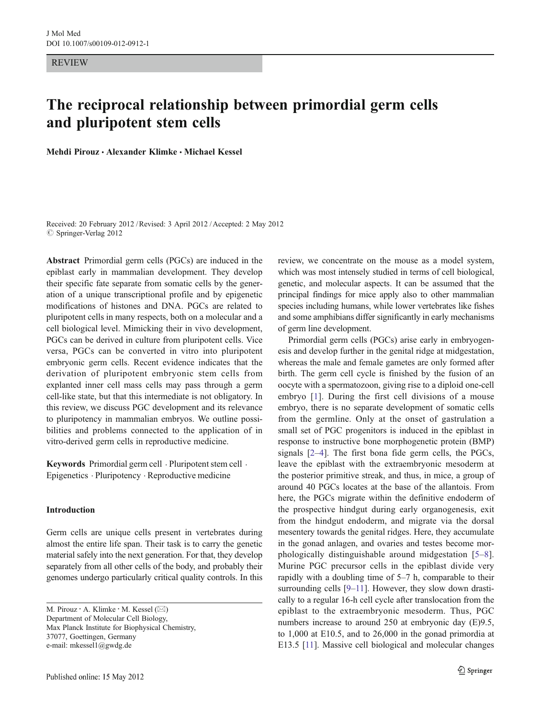REVIEW

# The reciprocal relationship between primordial germ cells and pluripotent stem cells

Mehdi Pirouz · Alexander Klimke · Michael Kessel

Received: 20 February 2012 /Revised: 3 April 2012 / Accepted: 2 May 2012  $\circ$  Springer-Verlag 2012

Abstract Primordial germ cells (PGCs) are induced in the epiblast early in mammalian development. They develop their specific fate separate from somatic cells by the generation of a unique transcriptional profile and by epigenetic modifications of histones and DNA. PGCs are related to pluripotent cells in many respects, both on a molecular and a cell biological level. Mimicking their in vivo development, PGCs can be derived in culture from pluripotent cells. Vice versa, PGCs can be converted in vitro into pluripotent embryonic germ cells. Recent evidence indicates that the derivation of pluripotent embryonic stem cells from explanted inner cell mass cells may pass through a germ cell-like state, but that this intermediate is not obligatory. In this review, we discuss PGC development and its relevance to pluripotency in mammalian embryos. We outline possibilities and problems connected to the application of in vitro-derived germ cells in reproductive medicine.

Keywords Primordial germ cell . Pluripotent stem cell . Epigenetics . Pluripotency . Reproductive medicine

## Introduction

Germ cells are unique cells present in vertebrates during almost the entire life span. Their task is to carry the genetic material safely into the next generation. For that, they develop separately from all other cells of the body, and probably their genomes undergo particularly critical quality controls. In this

M. Pirouz  $\cdot$  A. Klimke  $\cdot$  M. Kessel ( $\boxtimes$ ) Department of Molecular Cell Biology, Max Planck Institute for Biophysical Chemistry, 37077, Goettingen, Germany e-mail: mkessel1@gwdg.de

review, we concentrate on the mouse as a model system, which was most intensely studied in terms of cell biological, genetic, and molecular aspects. It can be assumed that the principal findings for mice apply also to other mammalian species including humans, while lower vertebrates like fishes and some amphibians differ significantly in early mechanisms of germ line development.

Primordial germ cells (PGCs) arise early in embryogenesis and develop further in the genital ridge at midgestation, whereas the male and female gametes are only formed after birth. The germ cell cycle is finished by the fusion of an oocyte with a spermatozoon, giving rise to a diploid one-cell embryo [[1\]](#page-6-0). During the first cell divisions of a mouse embryo, there is no separate development of somatic cells from the germline. Only at the onset of gastrulation a small set of PGC progenitors is induced in the epiblast in response to instructive bone morphogenetic protein (BMP) signals [[2](#page-6-0)–[4\]](#page-6-0). The first bona fide germ cells, the PGCs, leave the epiblast with the extraembryonic mesoderm at the posterior primitive streak, and thus, in mice, a group of around 40 PGCs locates at the base of the allantois. From here, the PGCs migrate within the definitive endoderm of the prospective hindgut during early organogenesis, exit from the hindgut endoderm, and migrate via the dorsal mesentery towards the genital ridges. Here, they accumulate in the gonad anlagen, and ovaries and testes become morphologically distinguishable around midgestation [[5](#page-6-0)–[8](#page-6-0)]. Murine PGC precursor cells in the epiblast divide very rapidly with a doubling time of 5–7 h, comparable to their surrounding cells [[9](#page-6-0)–[11](#page-6-0)]. However, they slow down drastically to a regular 16-h cell cycle after translocation from the epiblast to the extraembryonic mesoderm. Thus, PGC numbers increase to around 250 at embryonic day (E)9.5, to 1,000 at E10.5, and to 26,000 in the gonad primordia at E13.5 [\[11\]](#page-6-0). Massive cell biological and molecular changes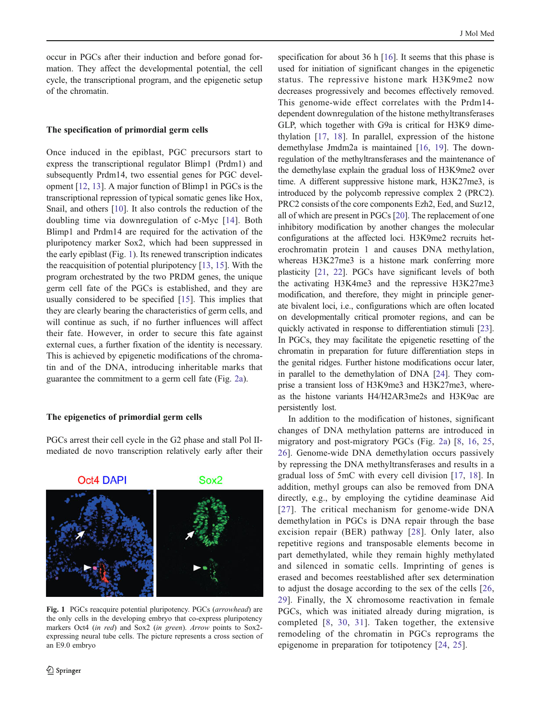occur in PGCs after their induction and before gonad formation. They affect the developmental potential, the cell cycle, the transcriptional program, and the epigenetic setup of the chromatin.

## The specification of primordial germ cells

Once induced in the epiblast, PGC precursors start to express the transcriptional regulator Blimp1 (Prdm1) and subsequently Prdm14, two essential genes for PGC development [\[12](#page-6-0), [13](#page-6-0)]. A major function of Blimp1 in PGCs is the transcriptional repression of typical somatic genes like Hox, Snail, and others [[10\]](#page-6-0). It also controls the reduction of the doubling time via downregulation of c-Myc [\[14\]](#page-6-0). Both Blimp1 and Prdm14 are required for the activation of the pluripotency marker Sox2, which had been suppressed in the early epiblast (Fig. 1). Its renewed transcription indicates the reacquisition of potential pluripotency [\[13](#page-6-0), [15](#page-6-0)]. With the program orchestrated by the two PRDM genes, the unique germ cell fate of the PGCs is established, and they are usually considered to be specified [\[15](#page-6-0)]. This implies that they are clearly bearing the characteristics of germ cells, and will continue as such, if no further influences will affect their fate. However, in order to secure this fate against external cues, a further fixation of the identity is necessary. This is achieved by epigenetic modifications of the chromatin and of the DNA, introducing inheritable marks that guarantee the commitment to a germ cell fate (Fig. [2a\)](#page-2-0).

## The epigenetics of primordial germ cells

PGCs arrest their cell cycle in the G2 phase and stall Pol IImediated de novo transcription relatively early after their



Fig. 1 PGCs reacquire potential pluripotency. PGCs (arrowhead) are the only cells in the developing embryo that co-express pluripotency markers Oct4 (in red) and Sox2 (in green). Arrow points to Sox2 expressing neural tube cells. The picture represents a cross section of an E9.0 embryo

specification for about 36 h [[16\]](#page-6-0). It seems that this phase is used for initiation of significant changes in the epigenetic status. The repressive histone mark H3K9me2 now decreases progressively and becomes effectively removed. This genome-wide effect correlates with the Prdm14 dependent downregulation of the histone methyltransferases GLP, which together with G9a is critical for H3K9 dimethylation [[17,](#page-6-0) [18](#page-6-0)]. In parallel, expression of the histone demethylase Jmdm2a is maintained [\[16,](#page-6-0) [19\]](#page-6-0). The downregulation of the methyltransferases and the maintenance of the demethylase explain the gradual loss of H3K9me2 over time. A different suppressive histone mark, H3K27me3, is introduced by the polycomb repressive complex 2 (PRC2). PRC2 consists of the core components Ezh2, Eed, and Suz12, all of which are present in PGCs [[20\]](#page-6-0). The replacement of one inhibitory modification by another changes the molecular configurations at the affected loci. H3K9me2 recruits heterochromatin protein 1 and causes DNA methylation, whereas H3K27me3 is a histone mark conferring more plasticity [[21](#page-6-0), [22](#page-6-0)]. PGCs have significant levels of both the activating H3K4me3 and the repressive H3K27me3 modification, and therefore, they might in principle generate bivalent loci, i.e., configurations which are often located on developmentally critical promoter regions, and can be quickly activated in response to differentiation stimuli [[23\]](#page-6-0). In PGCs, they may facilitate the epigenetic resetting of the chromatin in preparation for future differentiation steps in the genital ridges. Further histone modifications occur later, in parallel to the demethylation of DNA [\[24\]](#page-6-0). They comprise a transient loss of H3K9me3 and H3K27me3, whereas the histone variants H4/H2AR3me2s and H3K9ac are persistently lost.

In addition to the modification of histones, significant changes of DNA methylation patterns are introduced in migratory and post-migratory PGCs (Fig. [2a\)](#page-2-0) [\[8](#page-6-0), [16](#page-6-0), [25,](#page-6-0) [26](#page-6-0)]. Genome-wide DNA demethylation occurs passively by repressing the DNA methyltransferases and results in a gradual loss of 5mC with every cell division [[17](#page-6-0), [18](#page-6-0)]. In addition, methyl groups can also be removed from DNA directly, e.g., by employing the cytidine deaminase Aid [[27](#page-6-0)]. The critical mechanism for genome-wide DNA demethylation in PGCs is DNA repair through the base excision repair (BER) pathway [[28](#page-6-0)]. Only later, also repetitive regions and transposable elements become in part demethylated, while they remain highly methylated and silenced in somatic cells. Imprinting of genes is erased and becomes reestablished after sex determination to adjust the dosage according to the sex of the cells [[26,](#page-6-0) [29](#page-6-0)]. Finally, the X chromosome reactivation in female PGCs, which was initiated already during migration, is completed [[8](#page-6-0), [30,](#page-6-0) [31](#page-6-0)]. Taken together, the extensive remodeling of the chromatin in PGCs reprograms the epigenome in preparation for totipotency [[24,](#page-6-0) [25\]](#page-6-0).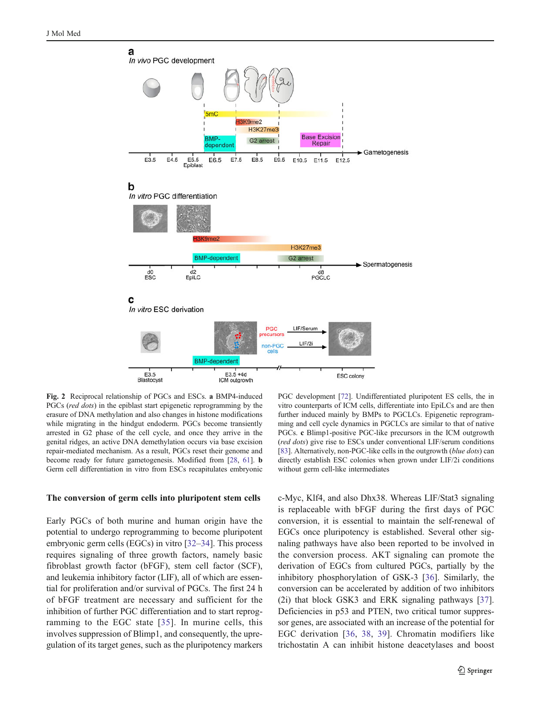<span id="page-2-0"></span>

Fig. 2 Reciprocal relationship of PGCs and ESCs. a BMP4-induced PGCs (red dots) in the epiblast start epigenetic reprogramming by the erasure of DNA methylation and also changes in histone modifications while migrating in the hindgut endoderm. PGCs become transiently arrested in G2 phase of the cell cycle, and once they arrive in the genital ridges, an active DNA demethylation occurs via base excision repair-mediated mechanism. As a result, PGCs reset their genome and become ready for future gametogenesis. Modified from [\[28,](#page-6-0) [61\]](#page-7-0). b Germ cell differentiation in vitro from ESCs recapitulates embryonic

#### The conversion of germ cells into pluripotent stem cells

Early PGCs of both murine and human origin have the potential to undergo reprogramming to become pluripotent embryonic germ cells (EGCs) in vitro [\[32](#page-6-0)–[34](#page-6-0)]. This process requires signaling of three growth factors, namely basic fibroblast growth factor (bFGF), stem cell factor (SCF), and leukemia inhibitory factor (LIF), all of which are essential for proliferation and/or survival of PGCs. The first 24 h of bFGF treatment are necessary and sufficient for the inhibition of further PGC differentiation and to start reprogramming to the EGC state [\[35\]](#page-6-0). In murine cells, this involves suppression of Blimp1, and consequently, the upregulation of its target genes, such as the pluripotency markers

PGC development [\[72\]](#page-7-0). Undifferentiated pluripotent ES cells, the in vitro counterparts of ICM cells, differentiate into EpiLCs and are then further induced mainly by BMPs to PGCLCs. Epigenetic reprogramming and cell cycle dynamics in PGCLCs are similar to that of native PGCs. c Blimp1-positive PGC-like precursors in the ICM outgrowth (red dots) give rise to ESCs under conventional LIF/serum conditions [[83](#page-8-0)]. Alternatively, non-PGC-like cells in the outgrowth (blue dots) can directly establish ESC colonies when grown under LIF/2i conditions without germ cell-like intermediates

c-Myc, Klf4, and also Dhx38. Whereas LIF/Stat3 signaling is replaceable with bFGF during the first days of PGC conversion, it is essential to maintain the self-renewal of EGCs once pluripotency is established. Several other signaling pathways have also been reported to be involved in the conversion process. AKT signaling can promote the derivation of EGCs from cultured PGCs, partially by the inhibitory phosphorylation of GSK-3 [\[36](#page-6-0)]. Similarly, the conversion can be accelerated by addition of two inhibitors (2i) that block GSK3 and ERK signaling pathways [[37\]](#page-6-0). Deficiencies in p53 and PTEN, two critical tumor suppressor genes, are associated with an increase of the potential for EGC derivation [[36](#page-6-0), [38,](#page-6-0) [39](#page-6-0)]. Chromatin modifiers like trichostatin A can inhibit histone deacetylases and boost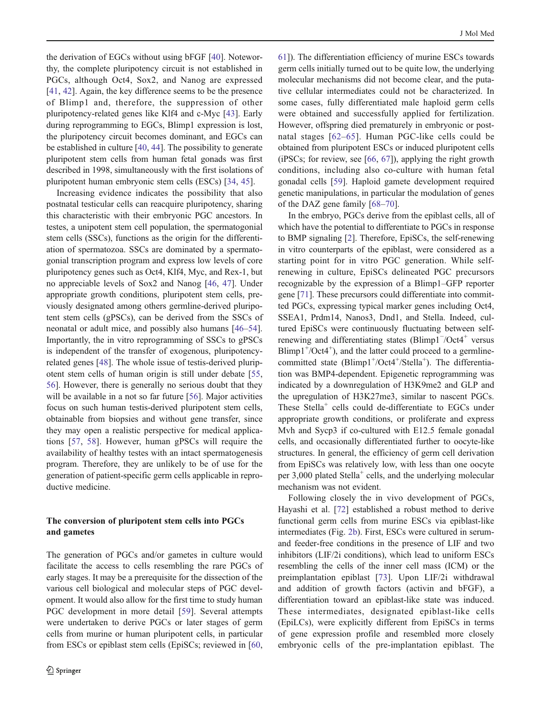the derivation of EGCs without using bFGF [[40\]](#page-7-0). Noteworthy, the complete pluripotency circuit is not established in PGCs, although Oct4, Sox2, and Nanog are expressed [\[41](#page-7-0), [42](#page-7-0)]. Again, the key difference seems to be the presence of Blimp1 and, therefore, the suppression of other pluripotency-related genes like Klf4 and c-Myc [[43\]](#page-7-0). Early during reprogramming to EGCs, Blimp1 expression is lost, the pluripotency circuit becomes dominant, and EGCs can be established in culture [[40,](#page-7-0) [44\]](#page-7-0). The possibility to generate pluripotent stem cells from human fetal gonads was first described in 1998, simultaneously with the first isolations of pluripotent human embryonic stem cells (ESCs) [\[34,](#page-6-0) [45](#page-7-0)].

Increasing evidence indicates the possibility that also postnatal testicular cells can reacquire pluripotency, sharing this characteristic with their embryonic PGC ancestors. In testes, a unipotent stem cell population, the spermatogonial stem cells (SSCs), functions as the origin for the differentiation of spermatozoa. SSCs are dominated by a spermatogonial transcription program and express low levels of core pluripotency genes such as Oct4, Klf4, Myc, and Rex-1, but no appreciable levels of Sox2 and Nanog [[46,](#page-7-0) [47\]](#page-7-0). Under appropriate growth conditions, pluripotent stem cells, previously designated among others germline-derived pluripotent stem cells (gPSCs), can be derived from the SSCs of neonatal or adult mice, and possibly also humans [\[46](#page-7-0)–[54](#page-7-0)]. Importantly, the in vitro reprogramming of SSCs to gPSCs is independent of the transfer of exogenous, pluripotencyrelated genes [\[48](#page-7-0)]. The whole issue of testis-derived pluripotent stem cells of human origin is still under debate [[55,](#page-7-0) [56](#page-7-0)]. However, there is generally no serious doubt that they will be available in a not so far future [\[56](#page-7-0)]. Major activities focus on such human testis-derived pluripotent stem cells, obtainable from biopsies and without gene transfer, since they may open a realistic perspective for medical applications [[57,](#page-7-0) [58](#page-7-0)]. However, human gPSCs will require the availability of healthy testes with an intact spermatogenesis program. Therefore, they are unlikely to be of use for the generation of patient-specific germ cells applicable in reproductive medicine.

# The conversion of pluripotent stem cells into PGCs and gametes

The generation of PGCs and/or gametes in culture would facilitate the access to cells resembling the rare PGCs of early stages. It may be a prerequisite for the dissection of the various cell biological and molecular steps of PGC development. It would also allow for the first time to study human PGC development in more detail [[59](#page-7-0)]. Several attempts were undertaken to derive PGCs or later stages of germ cells from murine or human pluripotent cells, in particular from ESCs or epiblast stem cells (EpiSCs; reviewed in [[60,](#page-7-0)

[61](#page-7-0)]). The differentiation efficiency of murine ESCs towards germ cells initially turned out to be quite low, the underlying molecular mechanisms did not become clear, and the putative cellular intermediates could not be characterized. In some cases, fully differentiated male haploid germ cells were obtained and successfully applied for fertilization. However, offspring died prematurely in embryonic or postnatal stages [\[62](#page-7-0)–[65\]](#page-7-0). Human PGC-like cells could be obtained from pluripotent ESCs or induced pluripotent cells (iPSCs; for review, see [\[66](#page-7-0), [67\]](#page-7-0)), applying the right growth conditions, including also co-culture with human fetal gonadal cells [\[59](#page-7-0)]. Haploid gamete development required genetic manipulations, in particular the modulation of genes of the DAZ gene family [\[68](#page-7-0)–[70](#page-7-0)].

In the embryo, PGCs derive from the epiblast cells, all of which have the potential to differentiate to PGCs in response to BMP signaling [[2\]](#page-6-0). Therefore, EpiSCs, the self-renewing in vitro counterparts of the epiblast, were considered as a starting point for in vitro PGC generation. While selfrenewing in culture, EpiSCs delineated PGC precursors recognizable by the expression of a Blimp1–GFP reporter gene [[71](#page-7-0)]. These precursors could differentiate into committed PGCs, expressing typical marker genes including Oct4, SSEA1, Prdm14, Nanos3, Dnd1, and Stella. Indeed, cultured EpiSCs were continuously fluctuating between selfrenewing and differentiating states (Blimp1<sup>-</sup>/Oct4<sup>+</sup> versus  $Blimp1^{+}/Oct4^{+}$ ), and the latter could proceed to a germlinecommitted state (Blimp1<sup>+</sup>/Oct4<sup>+</sup>/Stella<sup>+</sup>). The differentiation was BMP4-dependent. Epigenetic reprogramming was indicated by a downregulation of H3K9me2 and GLP and the upregulation of H3K27me3, similar to nascent PGCs. These Stella<sup>+</sup> cells could de-differentiate to EGCs under appropriate growth conditions, or proliferate and express Mvh and Sycp3 if co-cultured with E12.5 female gonadal cells, and occasionally differentiated further to oocyte-like structures. In general, the efficiency of germ cell derivation from EpiSCs was relatively low, with less than one oocyte per  $3,000$  plated Stella<sup>+</sup> cells, and the underlying molecular mechanism was not evident.

Following closely the in vivo development of PGCs, Hayashi et al. [[72\]](#page-7-0) established a robust method to derive functional germ cells from murine ESCs via epiblast-like intermediates (Fig. [2b](#page-2-0)). First, ESCs were cultured in serumand feeder-free conditions in the presence of LIF and two inhibitors (LIF/2i conditions), which lead to uniform ESCs resembling the cells of the inner cell mass (ICM) or the preimplantation epiblast [[73\]](#page-7-0). Upon LIF/2i withdrawal and addition of growth factors (activin and bFGF), a differentiation toward an epiblast-like state was induced. These intermediates, designated epiblast-like cells (EpiLCs), were explicitly different from EpiSCs in terms of gene expression profile and resembled more closely embryonic cells of the pre-implantation epiblast. The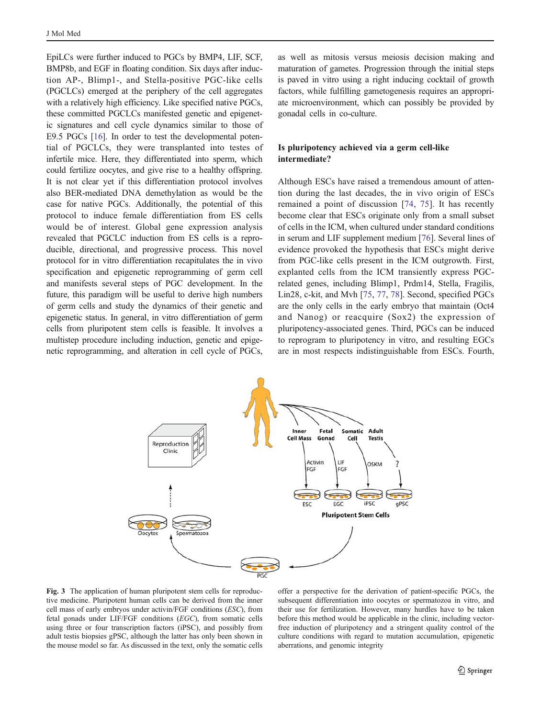<span id="page-4-0"></span>EpiLCs were further induced to PGCs by BMP4, LIF, SCF, BMP8b, and EGF in floating condition. Six days after induction AP-, Blimp1-, and Stella-positive PGC-like cells (PGCLCs) emerged at the periphery of the cell aggregates with a relatively high efficiency. Like specified native PGCs, these committed PGCLCs manifested genetic and epigenetic signatures and cell cycle dynamics similar to those of E9.5 PGCs [\[16\]](#page-6-0). In order to test the developmental potential of PGCLCs, they were transplanted into testes of infertile mice. Here, they differentiated into sperm, which could fertilize oocytes, and give rise to a healthy offspring. It is not clear yet if this differentiation protocol involves also BER-mediated DNA demethylation as would be the case for native PGCs. Additionally, the potential of this protocol to induce female differentiation from ES cells would be of interest. Global gene expression analysis revealed that PGCLC induction from ES cells is a reproducible, directional, and progressive process. This novel protocol for in vitro differentiation recapitulates the in vivo specification and epigenetic reprogramming of germ cell and manifests several steps of PGC development. In the future, this paradigm will be useful to derive high numbers of germ cells and study the dynamics of their genetic and epigenetic status. In general, in vitro differentiation of germ cells from pluripotent stem cells is feasible. It involves a multistep procedure including induction, genetic and epigenetic reprogramming, and alteration in cell cycle of PGCs,

as well as mitosis versus meiosis decision making and maturation of gametes. Progression through the initial steps is paved in vitro using a right inducing cocktail of growth factors, while fulfilling gametogenesis requires an appropriate microenvironment, which can possibly be provided by gonadal cells in co-culture.

# Is pluripotency achieved via a germ cell-like intermediate?

Although ESCs have raised a tremendous amount of attention during the last decades, the in vivo origin of ESCs remained a point of discussion [\[74,](#page-7-0) [75\]](#page-7-0). It has recently become clear that ESCs originate only from a small subset of cells in the ICM, when cultured under standard conditions in serum and LIF supplement medium [\[76](#page-7-0)]. Several lines of evidence provoked the hypothesis that ESCs might derive from PGC-like cells present in the ICM outgrowth. First, explanted cells from the ICM transiently express PGCrelated genes, including Blimp1, Prdm14, Stella, Fragilis, Lin28, c-kit, and Mvh [[75,](#page-7-0) [77](#page-7-0), [78](#page-7-0)]. Second, specified PGCs are the only cells in the early embryo that maintain (Oct4 and Nanog) or reacquire (Sox2) the expression of pluripotency-associated genes. Third, PGCs can be induced to reprogram to pluripotency in vitro, and resulting EGCs are in most respects indistinguishable from ESCs. Fourth,



Fig. 3 The application of human pluripotent stem cells for reproductive medicine. Pluripotent human cells can be derived from the inner cell mass of early embryos under activin/FGF conditions (ESC), from fetal gonads under LIF/FGF conditions (EGC), from somatic cells using three or four transcription factors (iPSC), and possibly from adult testis biopsies gPSC, although the latter has only been shown in the mouse model so far. As discussed in the text, only the somatic cells offer a perspective for the derivation of patient-specific PGCs, the subsequent differentiation into oocytes or spermatozoa in vitro, and their use for fertilization. However, many hurdles have to be taken before this method would be applicable in the clinic, including vectorfree induction of pluripotency and a stringent quality control of the culture conditions with regard to mutation accumulation, epigenetic aberrations, and genomic integrity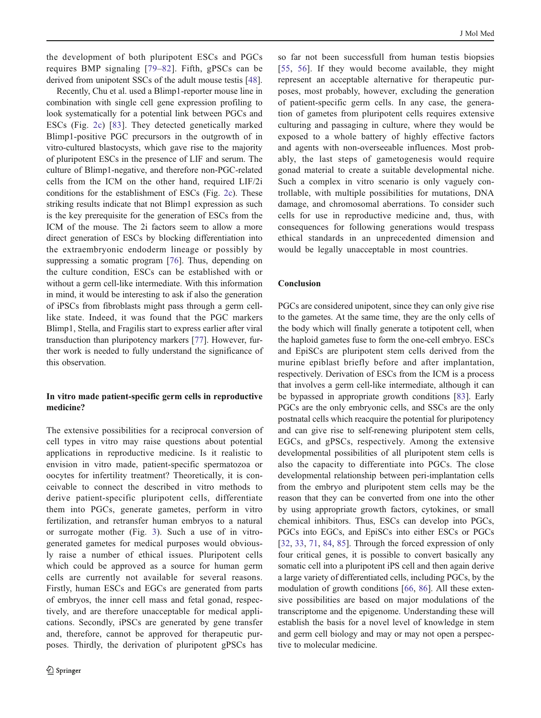the development of both pluripotent ESCs and PGCs requires BMP signaling [[79](#page-8-0)–[82\]](#page-8-0). Fifth, gPSCs can be derived from unipotent SSCs of the adult mouse testis [\[48](#page-7-0)].

Recently, Chu et al. used a Blimp1-reporter mouse line in combination with single cell gene expression profiling to look systematically for a potential link between PGCs and ESCs (Fig. [2c](#page-2-0)) [[83](#page-8-0)]. They detected genetically marked Blimp1-positive PGC precursors in the outgrowth of in vitro-cultured blastocysts, which gave rise to the majority of pluripotent ESCs in the presence of LIF and serum. The culture of Blimp1-negative, and therefore non-PGC-related cells from the ICM on the other hand, required LIF/2i conditions for the establishment of ESCs (Fig. [2c\)](#page-2-0). These striking results indicate that not Blimp1 expression as such is the key prerequisite for the generation of ESCs from the ICM of the mouse. The 2i factors seem to allow a more direct generation of ESCs by blocking differentiation into the extraembryonic endoderm lineage or possibly by suppressing a somatic program [[76\]](#page-7-0). Thus, depending on the culture condition, ESCs can be established with or without a germ cell-like intermediate. With this information in mind, it would be interesting to ask if also the generation of iPSCs from fibroblasts might pass through a germ celllike state. Indeed, it was found that the PGC markers Blimp1, Stella, and Fragilis start to express earlier after viral transduction than pluripotency markers [\[77](#page-7-0)]. However, further work is needed to fully understand the significance of this observation.

## In vitro made patient-specific germ cells in reproductive medicine?

The extensive possibilities for a reciprocal conversion of cell types in vitro may raise questions about potential applications in reproductive medicine. Is it realistic to envision in vitro made, patient-specific spermatozoa or oocytes for infertility treatment? Theoretically, it is conceivable to connect the described in vitro methods to derive patient-specific pluripotent cells, differentiate them into PGCs, generate gametes, perform in vitro fertilization, and retransfer human embryos to a natural or surrogate mother (Fig. [3\)](#page-4-0). Such a use of in vitrogenerated gametes for medical purposes would obviously raise a number of ethical issues. Pluripotent cells which could be approved as a source for human germ cells are currently not available for several reasons. Firstly, human ESCs and EGCs are generated from parts of embryos, the inner cell mass and fetal gonad, respectively, and are therefore unacceptable for medical applications. Secondly, iPSCs are generated by gene transfer and, therefore, cannot be approved for therapeutic purposes. Thirdly, the derivation of pluripotent gPSCs has

so far not been successfull from human testis biopsies [\[55,](#page-7-0) [56](#page-7-0)]. If they would become available, they might represent an acceptable alternative for therapeutic purposes, most probably, however, excluding the generation of patient-specific germ cells. In any case, the generation of gametes from pluripotent cells requires extensive culturing and passaging in culture, where they would be exposed to a whole battery of highly effective factors and agents with non-overseeable influences. Most probably, the last steps of gametogenesis would require gonad material to create a suitable developmental niche. Such a complex in vitro scenario is only vaguely controllable, with multiple possibilities for mutations, DNA damage, and chromosomal aberrations. To consider such cells for use in reproductive medicine and, thus, with consequences for following generations would trespass ethical standards in an unprecedented dimension and would be legally unacceptable in most countries.

## Conclusion

PGCs are considered unipotent, since they can only give rise to the gametes. At the same time, they are the only cells of the body which will finally generate a totipotent cell, when the haploid gametes fuse to form the one-cell embryo. ESCs and EpiSCs are pluripotent stem cells derived from the murine epiblast briefly before and after implantation, respectively. Derivation of ESCs from the ICM is a process that involves a germ cell-like intermediate, although it can be bypassed in appropriate growth conditions [[83\]](#page-8-0). Early PGCs are the only embryonic cells, and SSCs are the only postnatal cells which reacquire the potential for pluripotency and can give rise to self-renewing pluripotent stem cells, EGCs, and gPSCs, respectively. Among the extensive developmental possibilities of all pluripotent stem cells is also the capacity to differentiate into PGCs. The close developmental relationship between peri-implantation cells from the embryo and pluripotent stem cells may be the reason that they can be converted from one into the other by using appropriate growth factors, cytokines, or small chemical inhibitors. Thus, ESCs can develop into PGCs, PGCs into EGCs, and EpiSCs into either ESCs or PGCs [\[32](#page-6-0), [33,](#page-6-0) [71](#page-7-0), [84,](#page-8-0) [85](#page-8-0)]. Through the forced expression of only four critical genes, it is possible to convert basically any somatic cell into a pluripotent iPS cell and then again derive a large variety of differentiated cells, including PGCs, by the modulation of growth conditions [\[66](#page-7-0), [86](#page-8-0)]. All these extensive possibilities are based on major modulations of the transcriptome and the epigenome. Understanding these will establish the basis for a novel level of knowledge in stem and germ cell biology and may or may not open a perspective to molecular medicine.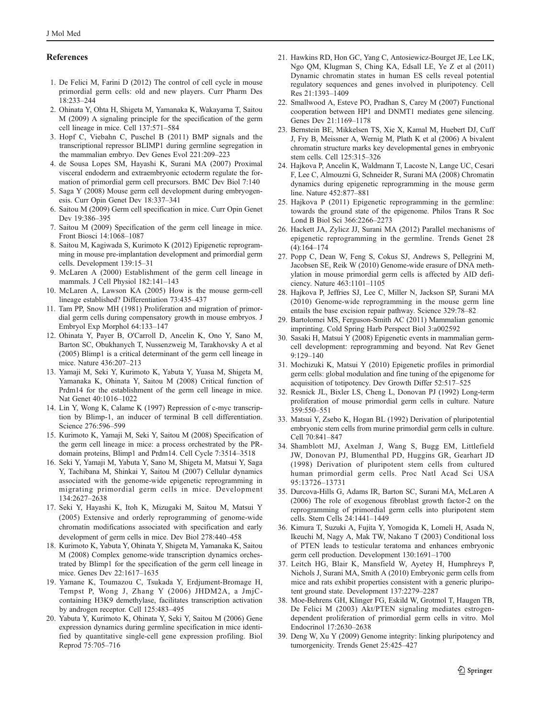#### <span id="page-6-0"></span>References

- 1. De Felici M, Farini D (2012) The control of cell cycle in mouse primordial germ cells: old and new players. Curr Pharm Des 18:233–244
- 2. Ohinata Y, Ohta H, Shigeta M, Yamanaka K, Wakayama T, Saitou M (2009) A signaling principle for the specification of the germ cell lineage in mice. Cell 137:571–584
- 3. Hopf C, Viebahn C, Puschel B (2011) BMP signals and the transcriptional repressor BLIMP1 during germline segregation in the mammalian embryo. Dev Genes Evol 221:209–223
- 4. de Sousa Lopes SM, Hayashi K, Surani MA (2007) Proximal visceral endoderm and extraembryonic ectoderm regulate the formation of primordial germ cell precursors. BMC Dev Biol 7:140
- 5. Saga Y (2008) Mouse germ cell development during embryogenesis. Curr Opin Genet Dev 18:337–341
- 6. Saitou M (2009) Germ cell specification in mice. Curr Opin Genet Dev 19:386–395
- 7. Saitou M (2009) Specification of the germ cell lineage in mice. Front Biosci 14:1068–1087
- 8. Saitou M, Kagiwada S, Kurimoto K (2012) Epigenetic reprogramming in mouse pre-implantation development and primordial germ cells. Development 139:15–31
- 9. McLaren A (2000) Establishment of the germ cell lineage in mammals. J Cell Physiol 182:141–143
- 10. McLaren A, Lawson KA (2005) How is the mouse germ-cell lineage established? Differentiation 73:435–437
- 11. Tam PP, Snow MH (1981) Proliferation and migration of primordial germ cells during compensatory growth in mouse embryos. J Embryol Exp Morphol 64:133–147
- 12. Ohinata Y, Payer B, O'Carroll D, Ancelin K, Ono Y, Sano M, Barton SC, Obukhanych T, Nussenzweig M, Tarakhovsky A et al (2005) Blimp1 is a critical determinant of the germ cell lineage in mice. Nature 436:207–213
- 13. Yamaji M, Seki Y, Kurimoto K, Yabuta Y, Yuasa M, Shigeta M, Yamanaka K, Ohinata Y, Saitou M (2008) Critical function of Prdm14 for the establishment of the germ cell lineage in mice. Nat Genet 40:1016–1022
- 14. Lin Y, Wong K, Calame K (1997) Repression of c-myc transcription by Blimp-1, an inducer of terminal B cell differentiation. Science 276:596–599
- 15. Kurimoto K, Yamaji M, Seki Y, Saitou M (2008) Specification of the germ cell lineage in mice: a process orchestrated by the PRdomain proteins, Blimp1 and Prdm14. Cell Cycle 7:3514–3518
- 16. Seki Y, Yamaji M, Yabuta Y, Sano M, Shigeta M, Matsui Y, Saga Y, Tachibana M, Shinkai Y, Saitou M (2007) Cellular dynamics associated with the genome-wide epigenetic reprogramming in migrating primordial germ cells in mice. Development 134:2627–2638
- 17. Seki Y, Hayashi K, Itoh K, Mizugaki M, Saitou M, Matsui Y (2005) Extensive and orderly reprogramming of genome-wide chromatin modifications associated with specification and early development of germ cells in mice. Dev Biol 278:440–458
- 18. Kurimoto K, Yabuta Y, Ohinata Y, Shigeta M, Yamanaka K, Saitou M (2008) Complex genome-wide transcription dynamics orchestrated by Blimp1 for the specification of the germ cell lineage in mice. Genes Dev 22:1617–1635
- 19. Yamane K, Toumazou C, Tsukada Y, Erdjument-Bromage H, Tempst P, Wong J, Zhang Y (2006) JHDM2A, a JmjCcontaining H3K9 demethylase, facilitates transcription activation by androgen receptor. Cell 125:483–495
- 20. Yabuta Y, Kurimoto K, Ohinata Y, Seki Y, Saitou M (2006) Gene expression dynamics during germline specification in mice identified by quantitative single-cell gene expression profiling. Biol Reprod 75:705–716
- 21. Hawkins RD, Hon GC, Yang C, Antosiewicz-Bourget JE, Lee LK, Ngo QM, Klugman S, Ching KA, Edsall LE, Ye Z et al (2011) Dynamic chromatin states in human ES cells reveal potential regulatory sequences and genes involved in pluripotency. Cell Res 21:1393–1409
- 22. Smallwood A, Esteve PO, Pradhan S, Carey M (2007) Functional cooperation between HP1 and DNMT1 mediates gene silencing. Genes Dev 21:1169–1178
- 23. Bernstein BE, Mikkelsen TS, Xie X, Kamal M, Huebert DJ, Cuff J, Fry B, Meissner A, Wernig M, Plath K et al (2006) A bivalent chromatin structure marks key developmental genes in embryonic stem cells. Cell 125:315–326
- 24. Hajkova P, Ancelin K, Waldmann T, Lacoste N, Lange UC, Cesari F, Lee C, Almouzni G, Schneider R, Surani MA (2008) Chromatin dynamics during epigenetic reprogramming in the mouse germ line. Nature 452:877–881
- 25. Hajkova P (2011) Epigenetic reprogramming in the germline: towards the ground state of the epigenome. Philos Trans R Soc Lond B Biol Sci 366:2266–2273
- 26. Hackett JA, Zylicz JJ, Surani MA (2012) Parallel mechanisms of epigenetic reprogramming in the germline. Trends Genet 28 (4):164–174
- 27. Popp C, Dean W, Feng S, Cokus SJ, Andrews S, Pellegrini M, Jacobsen SE, Reik W (2010) Genome-wide erasure of DNA methylation in mouse primordial germ cells is affected by AID deficiency. Nature 463:1101–1105
- 28. Hajkova P, Jeffries SJ, Lee C, Miller N, Jackson SP, Surani MA (2010) Genome-wide reprogramming in the mouse germ line entails the base excision repair pathway. Science 329:78–82
- 29. Bartolomei MS, Ferguson-Smith AC (2011) Mammalian genomic imprinting. Cold Spring Harb Perspect Biol 3:a002592
- 30. Sasaki H, Matsui Y (2008) Epigenetic events in mammalian germcell development: reprogramming and beyond. Nat Rev Genet 9:129–140
- 31. Mochizuki K, Matsui Y (2010) Epigenetic profiles in primordial germ cells: global modulation and fine tuning of the epigenome for acquisition of totipotency. Dev Growth Differ 52:517–525
- 32. Resnick JL, Bixler LS, Cheng L, Donovan PJ (1992) Long-term proliferation of mouse primordial germ cells in culture. Nature 359:550–551
- 33. Matsui Y, Zsebo K, Hogan BL (1992) Derivation of pluripotential embryonic stem cells from murine primordial germ cells in culture. Cell 70:841–847
- 34. Shamblott MJ, Axelman J, Wang S, Bugg EM, Littlefield JW, Donovan PJ, Blumenthal PD, Huggins GR, Gearhart JD (1998) Derivation of pluripotent stem cells from cultured human primordial germ cells. Proc Natl Acad Sci USA 95:13726–13731
- 35. Durcova-Hills G, Adams IR, Barton SC, Surani MA, McLaren A (2006) The role of exogenous fibroblast growth factor-2 on the reprogramming of primordial germ cells into pluripotent stem cells. Stem Cells 24:1441–1449
- 36. Kimura T, Suzuki A, Fujita Y, Yomogida K, Lomeli H, Asada N, Ikeuchi M, Nagy A, Mak TW, Nakano T (2003) Conditional loss of PTEN leads to testicular teratoma and enhances embryonic germ cell production. Development 130:1691–1700
- 37. Leitch HG, Blair K, Mansfield W, Ayetey H, Humphreys P, Nichols J, Surani MA, Smith A (2010) Embryonic germ cells from mice and rats exhibit properties consistent with a generic pluripotent ground state. Development 137:2279–2287
- 38. Moe-Behrens GH, Klinger FG, Eskild W, Grotmol T, Haugen TB, De Felici M (2003) Akt/PTEN signaling mediates estrogendependent proliferation of primordial germ cells in vitro. Mol Endocrinol 17:2630–2638
- 39. Deng W, Xu Y (2009) Genome integrity: linking pluripotency and tumorgenicity. Trends Genet 25:425–427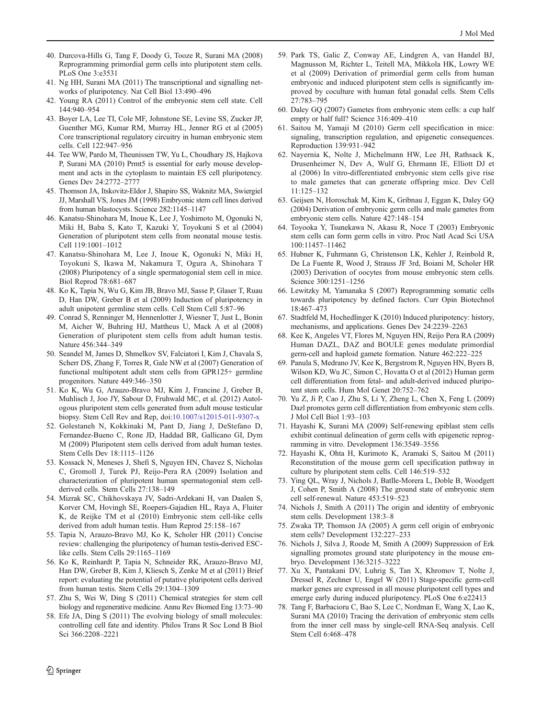- <span id="page-7-0"></span>40. Durcova-Hills G, Tang F, Doody G, Tooze R, Surani MA (2008) Reprogramming primordial germ cells into pluripotent stem cells. PLoS One 3:e3531
- 41. Ng HH, Surani MA (2011) The transcriptional and signalling networks of pluripotency. Nat Cell Biol 13:490–496
- 42. Young RA (2011) Control of the embryonic stem cell state. Cell 144:940–954
- 43. Boyer LA, Lee TI, Cole MF, Johnstone SE, Levine SS, Zucker JP, Guenther MG, Kumar RM, Murray HL, Jenner RG et al (2005) Core transcriptional regulatory circuitry in human embryonic stem cells. Cell 122:947–956
- 44. Tee WW, Pardo M, Theunissen TW, Yu L, Choudhary JS, Hajkova P, Surani MA (2010) Prmt5 is essential for early mouse development and acts in the cytoplasm to maintain ES cell pluripotency. Genes Dev 24:2772–2777
- 45. Thomson JA, Itskovitz-Eldor J, Shapiro SS, Waknitz MA, Swiergiel JJ, Marshall VS, Jones JM (1998) Embryonic stem cell lines derived from human blastocysts. Science 282:1145–1147
- 46. Kanatsu-Shinohara M, Inoue K, Lee J, Yoshimoto M, Ogonuki N, Miki H, Baba S, Kato T, Kazuki Y, Toyokuni S et al (2004) Generation of pluripotent stem cells from neonatal mouse testis. Cell 119:1001–1012
- 47. Kanatsu-Shinohara M, Lee J, Inoue K, Ogonuki N, Miki H, Toyokuni S, Ikawa M, Nakamura T, Ogura A, Shinohara T (2008) Pluripotency of a single spermatogonial stem cell in mice. Biol Reprod 78:681–687
- 48. Ko K, Tapia N, Wu G, Kim JB, Bravo MJ, Sasse P, Glaser T, Ruau D, Han DW, Greber B et al (2009) Induction of pluripotency in adult unipotent germline stem cells. Cell Stem Cell 5:87–96
- 49. Conrad S, Renninger M, Hennenlotter J, Wiesner T, Just L, Bonin M, Aicher W, Buhring HJ, Mattheus U, Mack A et al (2008) Generation of pluripotent stem cells from adult human testis. Nature 456:344–349
- 50. Seandel M, James D, Shmelkov SV, Falciatori I, Kim J, Chavala S, Scherr DS, Zhang F, Torres R, Gale NW et al (2007) Generation of functional multipotent adult stem cells from GPR125+ germline progenitors. Nature 449:346–350
- 51. Ko K, Wu G, Arauzo-Bravo MJ, Kim J, Francine J, Greber B, Muhlisch J, Joo JY, Sabour D, Fruhwald MC, et al. (2012) Autologous pluripotent stem cells generated from adult mouse testicular biopsy. Stem Cell Rev and Rep, doi:[10.1007/s12015-011-9307-x](http://dx.doi.org/10.1007/s12015-011-9307-x)
- 52. Golestaneh N, Kokkinaki M, Pant D, Jiang J, DeStefano D, Fernandez-Bueno C, Rone JD, Haddad BR, Gallicano GI, Dym M (2009) Pluripotent stem cells derived from adult human testes. Stem Cells Dev 18:1115–1126
- 53. Kossack N, Meneses J, Shefi S, Nguyen HN, Chavez S, Nicholas C, Gromoll J, Turek PJ, Reijo-Pera RA (2009) Isolation and characterization of pluripotent human spermatogonial stem cellderived cells. Stem Cells 27:138–149
- 54. Mizrak SC, Chikhovskaya JV, Sadri-Ardekani H, van Daalen S, Korver CM, Hovingh SE, Roepers-Gajadien HL, Raya A, Fluiter K, de Reijke TM et al (2010) Embryonic stem cell-like cells derived from adult human testis. Hum Reprod 25:158–167
- 55. Tapia N, Arauzo-Bravo MJ, Ko K, Scholer HR (2011) Concise review: challenging the pluripotency of human testis-derived ESClike cells. Stem Cells 29:1165–1169
- 56. Ko K, Reinhardt P, Tapia N, Schneider RK, Arauzo-Bravo MJ, Han DW, Greber B, Kim J, Kliesch S, Zenke M et al (2011) Brief report: evaluating the potential of putative pluripotent cells derived from human testis. Stem Cells 29:1304–1309
- 57. Zhu S, Wei W, Ding S (2011) Chemical strategies for stem cell biology and regenerative medicine. Annu Rev Biomed Eng 13:73–90
- 58. Efe JA, Ding S (2011) The evolving biology of small molecules: controlling cell fate and identity. Philos Trans R Soc Lond B Biol Sci 366:2208–2221
- 59. Park TS, Galic Z, Conway AE, Lindgren A, van Handel BJ, Magnusson M, Richter L, Teitell MA, Mikkola HK, Lowry WE et al (2009) Derivation of primordial germ cells from human embryonic and induced pluripotent stem cells is significantly improved by coculture with human fetal gonadal cells. Stem Cells 27:783–795
- 60. Daley GQ (2007) Gametes from embryonic stem cells: a cup half empty or half full? Science 316:409–410
- 61. Saitou M, Yamaji M (2010) Germ cell specification in mice: signaling, transcription regulation, and epigenetic consequences. Reproduction 139:931–942
- 62. Nayernia K, Nolte J, Michelmann HW, Lee JH, Rathsack K, Drusenheimer N, Dev A, Wulf G, Ehrmann IE, Elliott DJ et al (2006) In vitro-differentiated embryonic stem cells give rise to male gametes that can generate offspring mice. Dev Cell 11:125–132
- 63. Geijsen N, Horoschak M, Kim K, Gribnau J, Eggan K, Daley GQ (2004) Derivation of embryonic germ cells and male gametes from embryonic stem cells. Nature 427:148–154
- 64. Toyooka Y, Tsunekawa N, Akasu R, Noce T (2003) Embryonic stem cells can form germ cells in vitro. Proc Natl Acad Sci USA 100:11457–11462
- 65. Hubner K, Fuhrmann G, Christenson LK, Kehler J, Reinbold R, De La Fuente R, Wood J, Strauss JF 3rd, Boiani M, Scholer HR (2003) Derivation of oocytes from mouse embryonic stem cells. Science 300:1251–1256
- 66. Lewitzky M, Yamanaka S (2007) Reprogramming somatic cells towards pluripotency by defined factors. Curr Opin Biotechnol 18:467–473
- 67. Stadtfeld M, Hochedlinger K (2010) Induced pluripotency: history, mechanisms, and applications. Genes Dev 24:2239–2263
- 68. Kee K, Angeles VT, Flores M, Nguyen HN, Reijo Pera RA (2009) Human DAZL, DAZ and BOULE genes modulate primordial germ-cell and haploid gamete formation. Nature 462:222–225
- 69. Panula S, Medrano JV, Kee K, Bergstrom R, Nguyen HN, Byers B, Wilson KD, Wu JC, Simon C, Hovatta O et al (2012) Human germ cell differentiation from fetal- and adult-derived induced pluripotent stem cells. Hum Mol Genet 20:752–762
- 70. Yu Z, Ji P, Cao J, Zhu S, Li Y, Zheng L, Chen X, Feng L (2009) Dazl promotes germ cell differentiation from embryonic stem cells. J Mol Cell Biol 1:93–103
- 71. Hayashi K, Surani MA (2009) Self-renewing epiblast stem cells exhibit continual delineation of germ cells with epigenetic reprogramming in vitro. Development 136:3549–3556
- 72. Hayashi K, Ohta H, Kurimoto K, Aramaki S, Saitou M (2011) Reconstitution of the mouse germ cell specification pathway in culture by pluripotent stem cells. Cell 146:519–532
- 73. Ying QL, Wray J, Nichols J, Batlle-Morera L, Doble B, Woodgett J, Cohen P, Smith A (2008) The ground state of embryonic stem cell self-renewal. Nature 453:519–523
- 74. Nichols J, Smith A (2011) The origin and identity of embryonic stem cells. Development 138:3–8
- 75. Zwaka TP, Thomson JA (2005) A germ cell origin of embryonic stem cells? Development 132:227–233
- 76. Nichols J, Silva J, Roode M, Smith A (2009) Suppression of Erk signalling promotes ground state pluripotency in the mouse embryo. Development 136:3215–3222
- 77. Xu X, Pantakani DV, Luhrig S, Tan X, Khromov T, Nolte J, Dressel R, Zechner U, Engel W (2011) Stage-specific germ-cell marker genes are expressed in all mouse pluripotent cell types and emerge early during induced pluripotency. PLoS One 6:e22413
- 78. Tang F, Barbacioru C, Bao S, Lee C, Nordman E, Wang X, Lao K, Surani MA (2010) Tracing the derivation of embryonic stem cells from the inner cell mass by single-cell RNA-Seq analysis. Cell Stem Cell 6:468–478